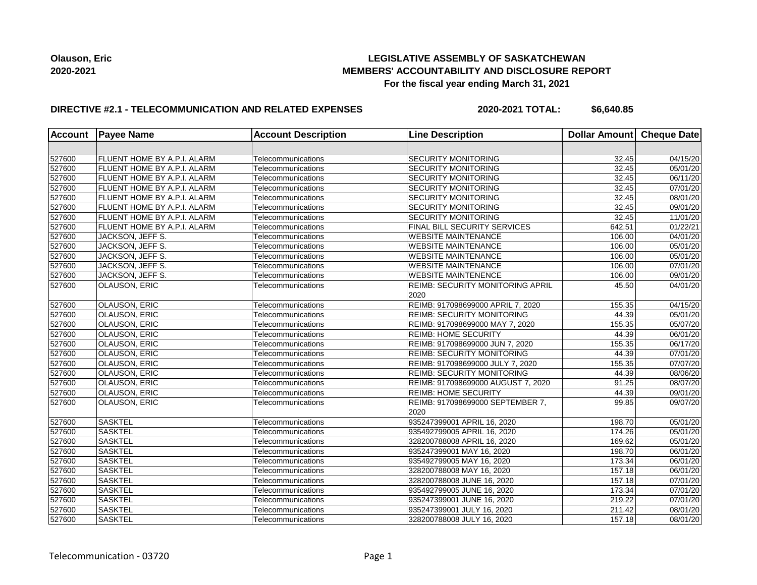## **LEGISLATIVE ASSEMBLY OF SASKATCHEWAN MEMBERS' ACCOUNTABILITY AND DISCLOSURE REPORT For the fiscal year ending March 31, 2021**

## **DIRECTIVE #2.1 - TELECOMMUNICATION AND RELATED EXPENSES**

**2020-2021 TOTAL: \$6,640.85**

| <b>Account</b> | <b>Payee Name</b>           | <b>Account Description</b> | <b>Line Description</b>                  | Dollar Amount   Cheque Date |                       |
|----------------|-----------------------------|----------------------------|------------------------------------------|-----------------------------|-----------------------|
|                |                             |                            |                                          |                             |                       |
| 527600         | FLUENT HOME BY A.P.I. ALARM | Telecommunications         | SECURITY MONITORING                      | 32.45                       | 04/15/20              |
| 527600         | FLUENT HOME BY A.P.I. ALARM | Telecommunications         | <b>SECURITY MONITORING</b>               | 32.45                       | 05/01/20              |
| 527600         | FLUENT HOME BY A.P.I. ALARM | Telecommunications         | <b>SECURITY MONITORING</b>               | 32.45                       | 06/11/20              |
| 527600         | FLUENT HOME BY A.P.I. ALARM | Telecommunications         | <b>SECURITY MONITORING</b>               | 32.45                       | $\overline{07}/01/20$ |
| 527600         | FLUENT HOME BY A.P.I. ALARM | Telecommunications         | <b>SECURITY MONITORING</b>               | 32.45                       | 08/01/20              |
| 527600         | FLUENT HOME BY A.P.I. ALARM | Telecommunications         | <b>SECURITY MONITORING</b>               | 32.45                       | 09/01/20              |
| 527600         | FLUENT HOME BY A.P.I. ALARM | Telecommunications         | <b>SECURITY MONITORING</b>               | 32.45                       | 11/01/20              |
| 527600         | FLUENT HOME BY A.P.I. ALARM | Telecommunications         | <b>FINAL BILL SECURITY SERVICES</b>      | 642.51                      | 01/22/21              |
| 527600         | JACKSON, JEFF S.            | Telecommunications         | <b>WEBSITE MAINTENANCE</b>               | 106.00                      | 04/01/20              |
| 527600         | JACKSON, JEFF S.            | Telecommunications         | <b>WEBSITE MAINTENANCE</b>               | 106.00                      | 05/01/20              |
| 527600         | JACKSON, JEFF S.            | Telecommunications         | <b>WEBSITE MAINTENANCE</b>               | 106.00                      | 05/01/20              |
| 527600         | JACKSON, JEFF S.            | Telecommunications         | <b>WEBSITE MAINTENANCE</b>               | 106.00                      | 07/01/20              |
| 527600         | JACKSON, JEFF S.            | Telecommunications         | <b>WEBSITE MAINTENENCE</b>               | 106.00                      | 09/01/20              |
| 527600         | <b>OLAUSON, ERIC</b>        | Telecommunications         | <b>REIMB: SECURITY MONITORING APRIL</b>  | 45.50                       | 04/01/20              |
|                |                             |                            | 2020                                     |                             |                       |
| 527600         | <b>OLAUSON, ERIC</b>        | Telecommunications         | REIMB: 917098699000 APRIL 7, 2020        | 155.35                      | 04/15/20              |
| 527600         | <b>OLAUSON, ERIC</b>        | Telecommunications         | <b>REIMB: SECURITY MONITORING</b>        | 44.39                       | 05/01/20              |
| 527600         | <b>OLAUSON, ERIC</b>        | Telecommunications         | REIMB: 917098699000 MAY 7, 2020          | 155.35                      | 05/07/20              |
| 527600         | OLAUSON, ERIC               | Telecommunications         | <b>REIMB: HOME SECURITY</b>              | 44.39                       | 06/01/20              |
| 527600         | OLAUSON, ERIC               | Telecommunications         | REIMB: 917098699000 JUN 7, 2020          | 155.35                      | 06/17/20              |
| 527600         | OLAUSON, ERIC               | Telecommunications         | <b>REIMB: SECURITY MONITORING</b>        | 44.39                       | 07/01/20              |
| 527600         | OLAUSON, ERIC               | Telecommunications         | REIMB: 917098699000 JULY 7, 2020         | 155.35                      | 07/07/20              |
| 527600         | <b>OLAUSON, ERIC</b>        | Telecommunications         | <b>REIMB: SECURITY MONITORING</b>        | 44.39                       | 08/06/20              |
| 527600         | <b>OLAUSON, ERIC</b>        | Telecommunications         | REIMB: 917098699000 AUGUST 7, 2020       | 91.25                       | 08/07/20              |
| 527600         | <b>OLAUSON, ERIC</b>        | Telecommunications         | <b>REIMB: HOME SECURITY</b>              | 44.39                       | 09/01/20              |
| 527600         | <b>OLAUSON, ERIC</b>        | Telecommunications         | REIMB: 917098699000 SEPTEMBER 7,<br>2020 | 99.85                       | 09/07/20              |
| 527600         | <b>SASKTEL</b>              | Telecommunications         | 935247399001 APRIL 16, 2020              | 198.70                      | 05/01/20              |
| 527600         | <b>SASKTEL</b>              | Telecommunications         | 935492799005 APRIL 16, 2020              | 174.26                      | 05/01/20              |
| 527600         | <b>SASKTEL</b>              | Telecommunications         | 328200788008 APRIL 16, 2020              | 169.62                      | 05/01/20              |
| 527600         | <b>SASKTEL</b>              | Telecommunications         | 935247399001 MAY 16, 2020                | 198.70                      | 06/01/20              |
| 527600         | <b>SASKTEL</b>              | Telecommunications         | 935492799005 MAY 16, 2020                | 173.34                      | 06/01/20              |
| 527600         | <b>SASKTEL</b>              | Telecommunications         | 328200788008 MAY 16, 2020                | 157.18                      | 06/01/20              |
| 527600         | <b>SASKTEL</b>              | Telecommunications         | 328200788008 JUNE 16, 2020               | 157.18                      | 07/01/20              |
| 527600         | <b>SASKTEL</b>              | Telecommunications         | 935492799005 JUNE 16, 2020               | 173.34                      | 07/01/20              |
| 527600         | <b>SASKTEL</b>              | Telecommunications         | 935247399001 JUNE 16, 2020               | 219.22                      | 07/01/20              |
| 527600         | <b>SASKTEL</b>              | Telecommunications         | 935247399001 JULY 16, 2020               | 211.42                      | 08/01/20              |
| 527600         | <b>SASKTEL</b>              | Telecommunications         | 328200788008 JULY 16, 2020               | 157.18                      | 08/01/20              |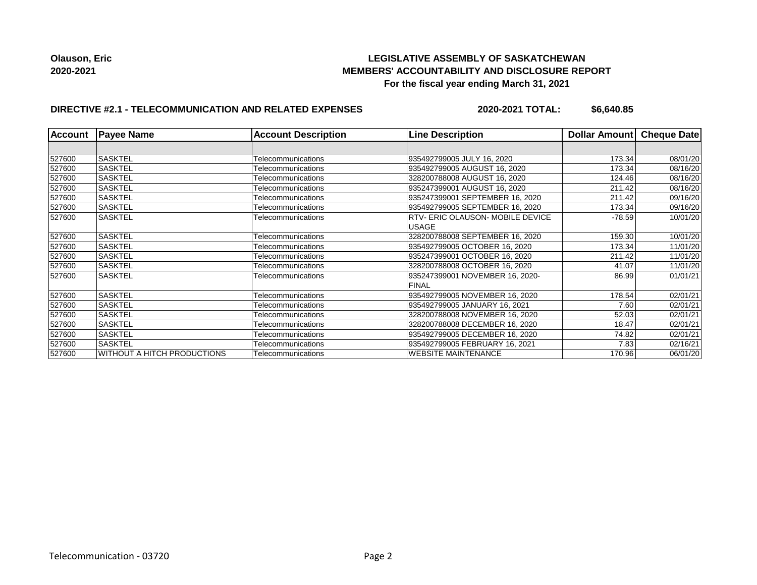## **LEGISLATIVE ASSEMBLY OF SASKATCHEWAN MEMBERS' ACCOUNTABILITY AND DISCLOSURE REPORT For the fiscal year ending March 31, 2021**

# **DIRECTIVE #2.1 - TELECOMMUNICATION AND RELATED EXPENSES**

**2020-2021 TOTAL: \$6,640.85**

| <b>Account</b> | <b>Payee Name</b>                  | <b>Account Description</b> | <b>Line Description</b>                 | Dollar Amount | <b>Cheque Date</b> |
|----------------|------------------------------------|----------------------------|-----------------------------------------|---------------|--------------------|
|                |                                    |                            |                                         |               |                    |
| 527600         | <b>SASKTEL</b>                     | Telecommunications         | 935492799005 JULY 16, 2020              | 173.34        | 08/01/20           |
| 527600         | <b>SASKTEL</b>                     | Telecommunications         | 935492799005 AUGUST 16, 2020            | 173.34        | 08/16/20           |
| 527600         | <b>SASKTEL</b>                     | Telecommunications         | 328200788008 AUGUST 16, 2020            | 124.46        | 08/16/20           |
| 527600         | <b>SASKTEL</b>                     | Telecommunications         | 935247399001 AUGUST 16, 2020            | 211.42        | 08/16/20           |
| 527600         | <b>SASKTEL</b>                     | Telecommunications         | 935247399001 SEPTEMBER 16, 2020         | 211.42        | 09/16/20           |
| 527600         | <b>SASKTEL</b>                     | Telecommunications         | 935492799005 SEPTEMBER 16, 2020         | 173.34        | 09/16/20           |
| 527600         | <b>SASKTEL</b>                     | Telecommunications         | <b>RTV- ERIC OLAUSON- MOBILE DEVICE</b> | $-78.59$      | 10/01/20           |
|                |                                    |                            | <b>IUSAGE</b>                           |               |                    |
| 527600         | <b>SASKTEL</b>                     | Telecommunications         | 328200788008 SEPTEMBER 16, 2020         | 159.30        | 10/01/20           |
| 527600         | <b>SASKTEL</b>                     | Telecommunications         | 935492799005 OCTOBER 16, 2020           | 173.34        | 11/01/20           |
| 527600         | <b>SASKTEL</b>                     | Telecommunications         | 935247399001 OCTOBER 16, 2020           | 211.42        | 11/01/20           |
| 527600         | ISASKTEL                           | Telecommunications         | 328200788008 OCTOBER 16, 2020           | 41.07         | 11/01/20           |
| 527600         | <b>SASKTEL</b>                     | Telecommunications         | 935247399001 NOVEMBER 16, 2020-         | 86.99         | 01/01/21           |
|                |                                    |                            | <b>FINAL</b>                            |               |                    |
| 527600         | <b>SASKTEL</b>                     | Telecommunications         | 935492799005 NOVEMBER 16, 2020          | 178.54        | 02/01/21           |
| 527600         | <b>SASKTEL</b>                     | Telecommunications         | 935492799005 JANUARY 16, 2021           | 7.60          | 02/01/21           |
| 527600         | <b>SASKTEL</b>                     | Telecommunications         | 328200788008 NOVEMBER 16, 2020          | 52.03         | 02/01/21           |
| 527600         | <b>SASKTEL</b>                     | Telecommunications         | 328200788008 DECEMBER 16, 2020          | 18.47         | 02/01/21           |
| 527600         | <b>SASKTEL</b>                     | Telecommunications         | 935492799005 DECEMBER 16, 2020          | 74.82         | 02/01/21           |
| 527600         | <b>SASKTEL</b>                     | Telecommunications         | 935492799005 FEBRUARY 16, 2021          | 7.83          | 02/16/21           |
| 527600         | <b>WITHOUT A HITCH PRODUCTIONS</b> | Telecommunications         | <b>WEBSITE MAINTENANCE</b>              | 170.96        | 06/01/20           |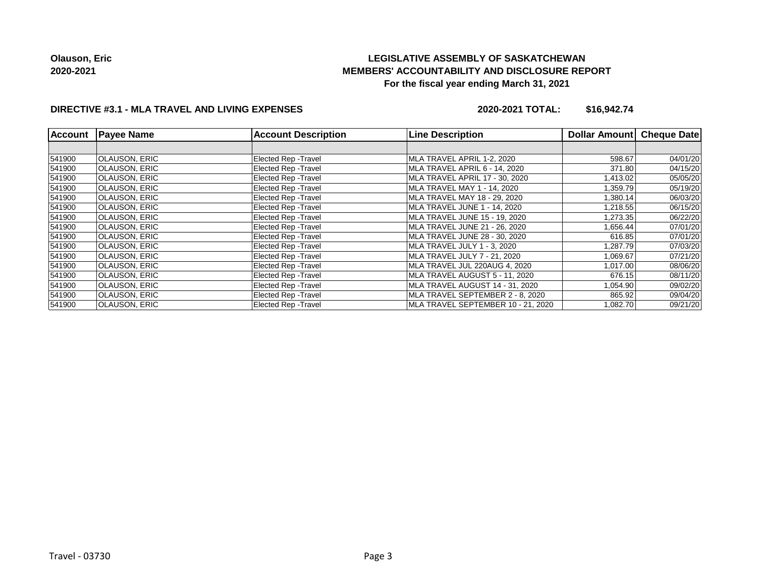# **LEGISLATIVE ASSEMBLY OF SASKATCHEWAN MEMBERS' ACCOUNTABILITY AND DISCLOSURE REPORT For the fiscal year ending March 31, 2021**

## **DIRECTIVE #3.1 - MLA TRAVEL AND LIVING EXPENSES**

**2020-2021 TOTAL: \$16,942.74**

| <b>Account</b> | <b>Payee Name</b>    | <b>Account Description</b>  | <b>Line Description</b>            | <b>Dollar Amount</b> | <b>Cheque Date</b> |
|----------------|----------------------|-----------------------------|------------------------------------|----------------------|--------------------|
|                |                      |                             |                                    |                      |                    |
| 541900         | OLAUSON, ERIC        | <b>Elected Rep - Travel</b> | MLA TRAVEL APRIL 1-2, 2020         | 598.67               | 04/01/20           |
| 541900         | OLAUSON, ERIC        | <b>Elected Rep - Travel</b> | MLA TRAVEL APRIL 6 - 14, 2020      | 371.80               | 04/15/20           |
| 541900         | OLAUSON, ERIC        | <b>Elected Rep - Travel</b> | MLA TRAVEL APRIL 17 - 30, 2020     | 1,413.02             | 05/05/20           |
| 541900         | OLAUSON, ERIC        | <b>Elected Rep - Travel</b> | MLA TRAVEL MAY 1 - 14, 2020        | 1,359.79             | 05/19/20           |
| 541900         | OLAUSON, ERIC        | <b>Elected Rep - Travel</b> | MLA TRAVEL MAY 18 - 29, 2020       | 1,380.14             | 06/03/20           |
| 541900         | OLAUSON, ERIC        | <b>Elected Rep - Travel</b> | MLA TRAVEL JUNE 1 - 14, 2020       | 1,218.55             | 06/15/20           |
| 541900         | OLAUSON, ERIC        | <b>Elected Rep - Travel</b> | MLA TRAVEL JUNE 15 - 19, 2020      | 1,273.35             | 06/22/20           |
| 541900         | OLAUSON, ERIC        | <b>Elected Rep - Travel</b> | MLA TRAVEL JUNE 21 - 26, 2020      | 1,656.44             | 07/01/20           |
| 541900         | <b>OLAUSON, ERIC</b> | <b>Elected Rep - Travel</b> | MLA TRAVEL JUNE 28 - 30, 2020      | 616.85               | 07/01/20           |
| 541900         | OLAUSON, ERIC        | <b>Elected Rep - Travel</b> | MLA TRAVEL JULY 1 - 3, 2020        | 1,287.79             | 07/03/20           |
| 541900         | <b>OLAUSON, ERIC</b> | <b>Elected Rep - Travel</b> | MLA TRAVEL JULY 7 - 21, 2020       | 1,069.67             | 07/21/20           |
| 541900         | OLAUSON, ERIC        | <b>Elected Rep - Travel</b> | MLA TRAVEL JUL 220AUG 4, 2020      | 1,017.00             | 08/06/20           |
| 541900         | OLAUSON, ERIC        | <b>Elected Rep - Travel</b> | MLA TRAVEL AUGUST 5 - 11, 2020     | 676.15               | 08/11/20           |
| 541900         | OLAUSON, ERIC        | <b>Elected Rep - Travel</b> | MLA TRAVEL AUGUST 14 - 31, 2020    | 1,054.90             | 09/02/20           |
| 541900         | OLAUSON, ERIC        | <b>Elected Rep - Travel</b> | MLA TRAVEL SEPTEMBER 2 - 8, 2020   | 865.92               | 09/04/20           |
| 541900         | OLAUSON, ERIC        | <b>Elected Rep - Travel</b> | MLA TRAVEL SEPTEMBER 10 - 21, 2020 | 1,082.70             | 09/21/20           |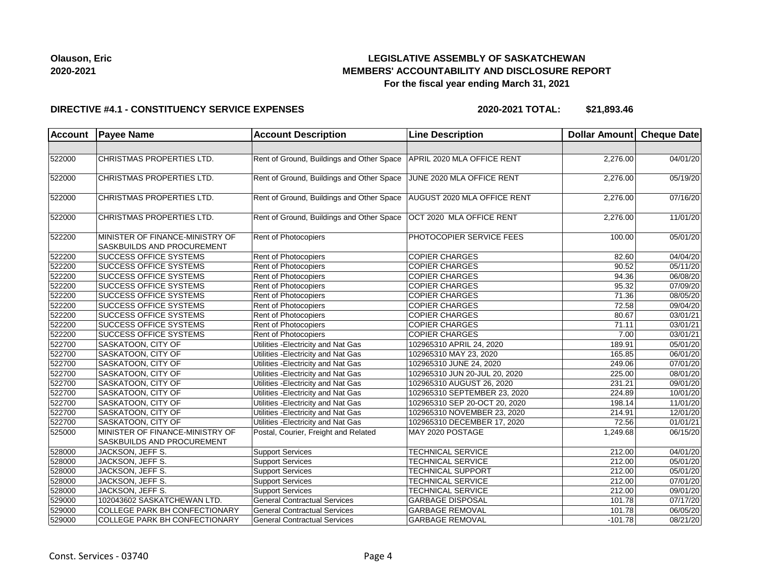

## **LEGISLATIVE ASSEMBLY OF SASKATCHEWAN MEMBERS' ACCOUNTABILITY AND DISCLOSURE REPORT For the fiscal year ending March 31, 2021**

#### **DIRECTIVE #4.1 - CONSTITUENCY SERVICE EXPENSES**

**2020-2021 TOTAL: \$21,893.46**

| <b>Account</b> | <b>Payee Name</b>                                             | <b>Account Description</b>                                           | <b>Line Description</b>       | Dollar Amount Cheque Date |          |
|----------------|---------------------------------------------------------------|----------------------------------------------------------------------|-------------------------------|---------------------------|----------|
|                |                                                               |                                                                      |                               |                           |          |
| 522000         | CHRISTMAS PROPERTIES LTD.                                     | Rent of Ground, Buildings and Other Space APRIL 2020 MLA OFFICE RENT |                               | 2,276.00                  | 04/01/20 |
| 522000         | CHRISTMAS PROPERTIES LTD.                                     | Rent of Ground, Buildings and Other Space                            | JUNE 2020 MLA OFFICE RENT     | 2,276.00                  | 05/19/20 |
| 522000         | CHRISTMAS PROPERTIES LTD.                                     | Rent of Ground, Buildings and Other Space                            | AUGUST 2020 MLA OFFICE RENT   | 2,276.00                  | 07/16/20 |
| 522000         | CHRISTMAS PROPERTIES LTD.                                     | Rent of Ground, Buildings and Other Space   OCT 2020 MLA OFFICE RENT |                               | 2,276.00                  | 11/01/20 |
| 522200         | MINISTER OF FINANCE-MINISTRY OF<br>SASKBUILDS AND PROCUREMENT | <b>Rent of Photocopiers</b>                                          | PHOTOCOPIER SERVICE FEES      | 100.00                    | 05/01/20 |
| 522200         | <b>SUCCESS OFFICE SYSTEMS</b>                                 | <b>Rent of Photocopiers</b>                                          | <b>COPIER CHARGES</b>         | 82.60                     | 04/04/20 |
| 522200         | <b>SUCCESS OFFICE SYSTEMS</b>                                 | <b>Rent of Photocopiers</b>                                          | <b>COPIER CHARGES</b>         | 90.52                     | 05/11/20 |
| 522200         | <b>SUCCESS OFFICE SYSTEMS</b>                                 | <b>Rent of Photocopiers</b>                                          | <b>COPIER CHARGES</b>         | 94.36                     | 06/08/20 |
| 522200         | <b>SUCCESS OFFICE SYSTEMS</b>                                 | Rent of Photocopiers                                                 | <b>COPIER CHARGES</b>         | 95.32                     | 07/09/20 |
| 522200         | <b>SUCCESS OFFICE SYSTEMS</b>                                 | <b>Rent of Photocopiers</b>                                          | <b>COPIER CHARGES</b>         | 71.36                     | 08/05/20 |
| 522200         | <b>SUCCESS OFFICE SYSTEMS</b>                                 | Rent of Photocopiers                                                 | <b>COPIER CHARGES</b>         | 72.58                     | 09/04/20 |
| 522200         | <b>SUCCESS OFFICE SYSTEMS</b>                                 | Rent of Photocopiers                                                 | <b>COPIER CHARGES</b>         | 80.67                     | 03/01/21 |
| 522200         | SUCCESS OFFICE SYSTEMS                                        | <b>Rent of Photocopiers</b>                                          | <b>COPIER CHARGES</b>         | 71.11                     | 03/01/21 |
| 522200         | <b>SUCCESS OFFICE SYSTEMS</b>                                 | <b>Rent of Photocopiers</b>                                          | <b>COPIER CHARGES</b>         | 7.00                      | 03/01/21 |
| 522700         | SASKATOON, CITY OF                                            | Utilities - Electricity and Nat Gas                                  | 102965310 APRIL 24, 2020      | 189.91                    | 05/01/20 |
| 522700         | SASKATOON, CITY OF                                            | Utilities - Electricity and Nat Gas                                  | 102965310 MAY 23, 2020        | 165.85                    | 06/01/20 |
| 522700         | SASKATOON, CITY OF                                            | Utilities - Electricity and Nat Gas                                  | 102965310 JUNE 24, 2020       | 249.06                    | 07/01/20 |
| 522700         | SASKATOON, CITY OF                                            | Utilities - Electricity and Nat Gas                                  | 102965310 JUN 20-JUL 20, 2020 | 225.00                    | 08/01/20 |
| 522700         | SASKATOON, CITY OF                                            | Utilities - Electricity and Nat Gas                                  | 102965310 AUGUST 26, 2020     | 231.21                    | 09/01/20 |
| 522700         | SASKATOON, CITY OF                                            | Utilities - Electricity and Nat Gas                                  | 102965310 SEPTEMBER 23, 2020  | 224.89                    | 10/01/20 |
| 522700         | SASKATOON, CITY OF                                            | Utilities - Electricity and Nat Gas                                  | 102965310 SEP 20-OCT 20, 2020 | 198.14                    | 11/01/20 |
| 522700         | <b>SASKATOON, CITY OF</b>                                     | Utilities - Electricity and Nat Gas                                  | 102965310 NOVEMBER 23, 2020   | 214.91                    | 12/01/20 |
| 522700         | SASKATOON, CITY OF                                            | Utilities - Electricity and Nat Gas                                  | 102965310 DECEMBER 17, 2020   | 72.56                     | 01/01/21 |
| 525000         | MINISTER OF FINANCE-MINISTRY OF<br>SASKBUILDS AND PROCUREMENT | Postal, Courier, Freight and Related                                 | MAY 2020 POSTAGE              | 1,249.68                  | 06/15/20 |
| 528000         | JACKSON, JEFF S.                                              | <b>Support Services</b>                                              | <b>TECHNICAL SERVICE</b>      | 212.00                    | 04/01/20 |
| 528000         | JACKSON, JEFF S.                                              | <b>Support Services</b>                                              | <b>TECHNICAL SERVICE</b>      | 212.00                    | 05/01/20 |
| 528000         | JACKSON, JEFF S.                                              | <b>Support Services</b>                                              | <b>TECHNICAL SUPPORT</b>      | 212.00                    | 05/01/20 |
| 528000         | JACKSON, JEFF S.                                              | <b>Support Services</b>                                              | <b>TECHNICAL SERVICE</b>      | 212.00                    | 07/01/20 |
| 528000         | JACKSON, JEFF S.                                              | <b>Support Services</b>                                              | <b>TECHNICAL SERVICE</b>      | 212.00                    | 09/01/20 |
| 529000         | 102043602 SASKATCHEWAN LTD.                                   | <b>General Contractual Services</b>                                  | <b>GARBAGE DISPOSAL</b>       | 101.78                    | 07/17/20 |
| 529000         | <b>COLLEGE PARK BH CONFECTIONARY</b>                          | <b>General Contractual Services</b>                                  | <b>GARBAGE REMOVAL</b>        | 101.78                    | 06/05/20 |
| 529000         | <b>COLLEGE PARK BH CONFECTIONARY</b>                          | <b>General Contractual Services</b>                                  | <b>GARBAGE REMOVAL</b>        | $-101.78$                 | 08/21/20 |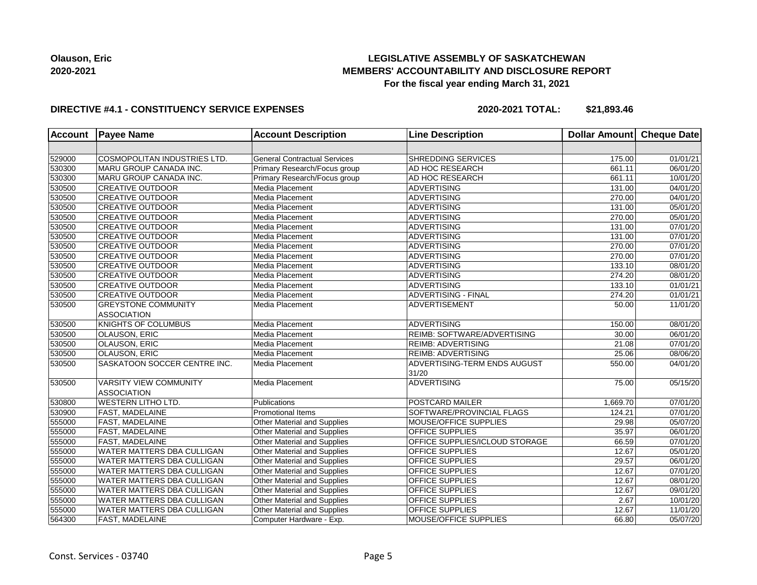## **LEGISLATIVE ASSEMBLY OF SASKATCHEWAN MEMBERS' ACCOUNTABILITY AND DISCLOSURE REPORT For the fiscal year ending March 31, 2021**

#### **DIRECTIVE #4.1 - CONSTITUENCY SERVICE EXPENSES**

**2020-2021 TOTAL: \$21,893.46**

| <b>Account</b> | <b>Payee Name</b>                 | <b>Account Description</b>          | <b>Line Description</b>               | Dollar Amount Cheque Date |                       |
|----------------|-----------------------------------|-------------------------------------|---------------------------------------|---------------------------|-----------------------|
|                |                                   |                                     |                                       |                           |                       |
| 529000         | COSMOPOLITAN INDUSTRIES LTD.      | <b>General Contractual Services</b> | SHREDDING SERVICES                    | 175.00                    | 01/01/21              |
| 530300         | MARU GROUP CANADA INC.            | Primary Research/Focus group        | AD HOC RESEARCH                       | 661.11                    | 06/01/20              |
| 530300         | MARU GROUP CANADA INC.            | Primary Research/Focus group        | AD HOC RESEARCH                       | 661.11                    | 10/01/20              |
| 530500         | <b>CREATIVE OUTDOOR</b>           | Media Placement                     | <b>ADVERTISING</b>                    | 131.00                    | 04/01/20              |
| 530500         | <b>CREATIVE OUTDOOR</b>           | Media Placement                     | <b>ADVERTISING</b>                    | 270.00                    | 04/01/20              |
| 530500         | <b>CREATIVE OUTDOOR</b>           | Media Placement                     | <b>ADVERTISING</b>                    | 131.00                    | 05/01/20              |
| 530500         | <b>CREATIVE OUTDOOR</b>           | Media Placement                     | <b>ADVERTISING</b>                    | 270.00                    | 05/01/20              |
| 530500         | <b>CREATIVE OUTDOOR</b>           | Media Placement                     | <b>ADVERTISING</b>                    | 131.00                    | $\overline{07}/01/20$ |
| 530500         | <b>CREATIVE OUTDOOR</b>           | Media Placement                     | <b>ADVERTISING</b>                    | 131.00                    | 07/01/20              |
| 530500         | <b>CREATIVE OUTDOOR</b>           | Media Placement                     | <b>ADVERTISING</b>                    | 270.00                    | 07/01/20              |
| 530500         | <b>CREATIVE OUTDOOR</b>           | Media Placement                     | <b>ADVERTISING</b>                    | 270.00                    | 07/01/20              |
| 530500         | <b>CREATIVE OUTDOOR</b>           | Media Placement                     | <b>ADVERTISING</b>                    | 133.10                    | 08/01/20              |
| 530500         | <b>CREATIVE OUTDOOR</b>           | Media Placement                     | <b>ADVERTISING</b>                    | 274.20                    | 08/01/20              |
| 530500         | <b>CREATIVE OUTDOOR</b>           | Media Placement                     | <b>ADVERTISING</b>                    | 133.10                    | 01/01/21              |
| 530500         | <b>CREATIVE OUTDOOR</b>           | Media Placement                     | <b>ADVERTISING - FINAL</b>            | 274.20                    | 01/01/21              |
| 530500         | <b>GREYSTONE COMMUNITY</b>        | Media Placement                     | ADVERTISEMENT                         | 50.00                     | 11/01/20              |
|                | <b>ASSOCIATION</b>                |                                     |                                       |                           |                       |
| 530500         | KNIGHTS OF COLUMBUS               | Media Placement                     | <b>ADVERTISING</b>                    | 150.00                    | 08/01/20              |
| 530500         | OLAUSON, ERIC                     | Media Placement                     | REIMB: SOFTWARE/ADVERTISING           | 30.00                     | 06/01/20              |
| 530500         | OLAUSON, ERIC                     | Media Placement                     | REIMB: ADVERTISING                    | 21.08                     | 07/01/20              |
| 530500         | <b>OLAUSON, ERIC</b>              | Media Placement                     | <b>REIMB: ADVERTISING</b>             | 25.06                     | 08/06/20              |
| 530500         | SASKATOON SOCCER CENTRE INC.      | Media Placement                     | ADVERTISING-TERM ENDS AUGUST<br>31/20 | 550.00                    | 04/01/20              |
| 530500         | <b>VARSITY VIEW COMMUNITY</b>     | Media Placement                     | <b>ADVERTISING</b>                    | 75.00                     | 05/15/20              |
|                | <b>ASSOCIATION</b>                |                                     |                                       |                           |                       |
| 530800         | <b>WESTERN LITHO LTD.</b>         | Publications                        | POSTCARD MAILER                       | 1,669.70                  | 07/01/20              |
| 530900         | <b>FAST, MADELAINE</b>            | <b>Promotional Items</b>            | SOFTWARE/PROVINCIAL FLAGS             | 124.21                    | 07/01/20              |
| 555000         | <b>FAST, MADELAINE</b>            | Other Material and Supplies         | MOUSE/OFFICE SUPPLIES                 | 29.98                     | 05/07/20              |
| 555000         | <b>FAST, MADELAINE</b>            | Other Material and Supplies         | <b>OFFICE SUPPLIES</b>                | 35.97                     | 06/01/20              |
| 555000         | <b>FAST, MADELAINE</b>            | Other Material and Supplies         | OFFICE SUPPLIES/ICLOUD STORAGE        | 66.59                     | 07/01/20              |
| 555000         | <b>WATER MATTERS DBA CULLIGAN</b> | Other Material and Supplies         | <b>OFFICE SUPPLIES</b>                | 12.67                     | 05/01/20              |
| 555000         | <b>WATER MATTERS DBA CULLIGAN</b> | Other Material and Supplies         | OFFICE SUPPLIES                       | 29.57                     | 06/01/20              |
| 555000         | <b>WATER MATTERS DBA CULLIGAN</b> | Other Material and Supplies         | <b>OFFICE SUPPLIES</b>                | 12.67                     | 07/01/20              |
| 555000         | <b>WATER MATTERS DBA CULLIGAN</b> | Other Material and Supplies         | OFFICE SUPPLIES                       | 12.67                     | 08/01/20              |
| 555000         | <b>WATER MATTERS DBA CULLIGAN</b> | Other Material and Supplies         | OFFICE SUPPLIES                       | 12.67                     | 09/01/20              |
| 555000         | WATER MATTERS DBA CULLIGAN        | Other Material and Supplies         | OFFICE SUPPLIES                       | 2.67                      | 10/01/20              |
| 555000         | WATER MATTERS DBA CULLIGAN        | Other Material and Supplies         | OFFICE SUPPLIES                       | 12.67                     | 11/01/20              |
| 564300         | <b>FAST, MADELAINE</b>            | Computer Hardware - Exp.            | MOUSE/OFFICE SUPPLIES                 | 66.80                     | 05/07/20              |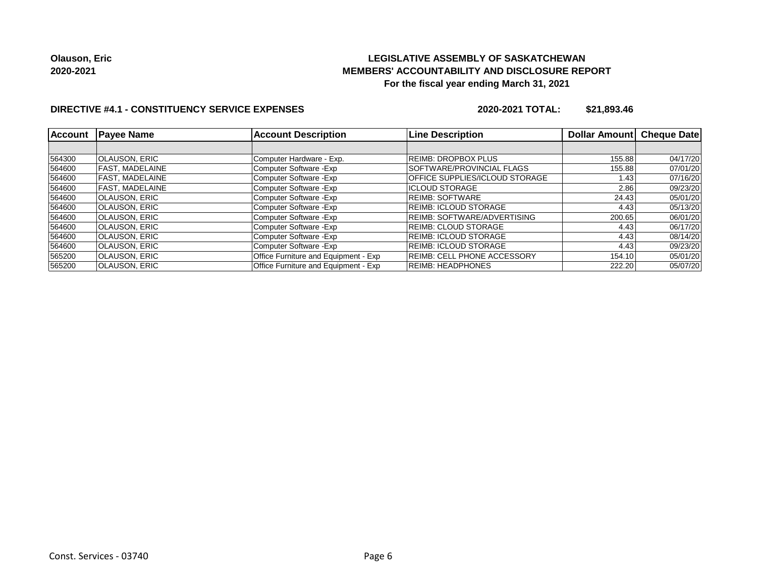## **LEGISLATIVE ASSEMBLY OF SASKATCHEWAN MEMBERS' ACCOUNTABILITY AND DISCLOSURE REPORT For the fiscal year ending March 31, 2021**

## **DIRECTIVE #4.1 - CONSTITUENCY SERVICE EXPENSES**

**2020-2021 TOTAL: \$21,893.46**

| <b>Account</b> | <b>Payee Name</b>    | <b>Account Description</b>           | <b>Line Description</b>            | Dollar Amount | <b>Cheque Date</b> |
|----------------|----------------------|--------------------------------------|------------------------------------|---------------|--------------------|
|                |                      |                                      |                                    |               |                    |
| 564300         | <b>OLAUSON, ERIC</b> | Computer Hardware - Exp.             | REIMB: DROPBOX PLUS                | 155.88        | 04/17/20           |
| 564600         | FAST. MADELAINE      | Computer Software - Exp              | SOFTWARE/PROVINCIAL FLAGS          | 155.88        | 07/01/20           |
| 564600         | FAST. MADELAINE      | Computer Software - Exp              | OFFICE SUPPLIES/ICLOUD STORAGE     | 1.43          | 07/16/20           |
| 564600         | FAST, MADELAINE      | Computer Software - Exp              | <b>IICLOUD STORAGE</b>             | 2.86          | 09/23/20           |
| 564600         | OLAUSON, ERIC        | Computer Software - Exp              | IREIMB: SOFTWARE                   | 24.43         | 05/01/20           |
| 564600         | <b>OLAUSON, ERIC</b> | Computer Software - Exp              | REIMB: ICLOUD STORAGE              | 4.43          | 05/13/20           |
| 564600         | <b>OLAUSON, ERIC</b> | Computer Software - Exp              | <b>REIMB: SOFTWARE/ADVERTISING</b> | 200.65        | 06/01/20           |
| 564600         | <b>OLAUSON, ERIC</b> | Computer Software - Exp              | <b>REIMB: CLOUD STORAGE</b>        | 4.43          | 06/17/20           |
| 564600         | <b>OLAUSON, ERIC</b> | Computer Software - Exp              | REIMB: ICLOUD STORAGE              | 4.43          | 08/14/20           |
| 564600         | <b>OLAUSON, ERIC</b> | Computer Software - Exp              | <b>REIMB: ICLOUD STORAGE</b>       | 4.43          | 09/23/20           |
| 565200         | <b>OLAUSON, ERIC</b> | Office Furniture and Equipment - Exp | <b>REIMB: CELL PHONE ACCESSORY</b> | 154.10        | 05/01/20           |
| 565200         | <b>OLAUSON, ERIC</b> | Office Furniture and Equipment - Exp | <b>REIMB: HEADPHONES</b>           | 222.20        | 05/07/20           |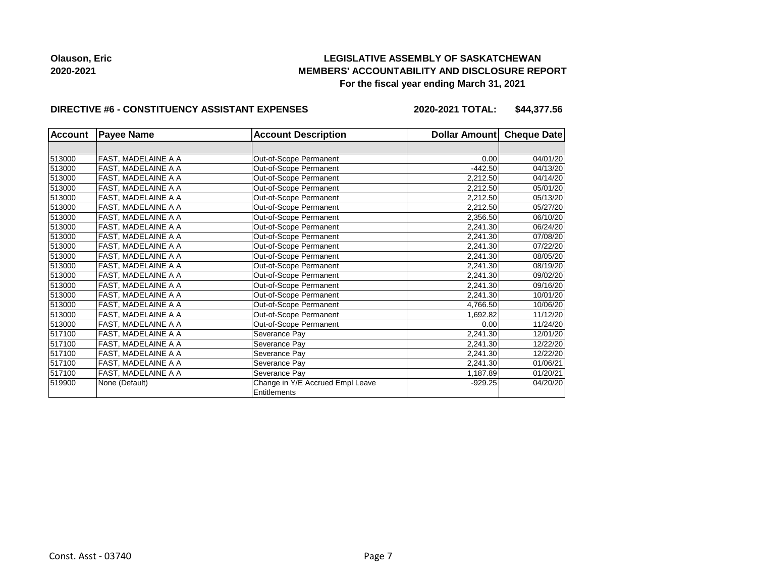## **LEGISLATIVE ASSEMBLY OF SASKATCHEWAN MEMBERS' ACCOUNTABILITY AND DISCLOSURE REPORT For the fiscal year ending March 31, 2021**

#### **DIRECTIVE #6 - CONSTITUENCY ASSISTANT EXPENSES**

**2020-2021 TOTAL: \$44,377.56**

| <b>Account</b> | <b>Payee Name</b>   | <b>Account Description</b>       | Dollar Amount | <b>Cheque Date</b> |
|----------------|---------------------|----------------------------------|---------------|--------------------|
|                |                     |                                  |               |                    |
| 513000         | FAST, MADELAINE A A | Out-of-Scope Permanent           | 0.00          | 04/01/20           |
| 513000         | FAST, MADELAINE A A | Out-of-Scope Permanent           | $-442.50$     | 04/13/20           |
| 513000         | FAST, MADELAINE A A | Out-of-Scope Permanent           | 2.212.50      | 04/14/20           |
| 513000         | FAST, MADELAINE A A | Out-of-Scope Permanent           | 2,212.50      | 05/01/20           |
| 513000         | FAST, MADELAINE A A | Out-of-Scope Permanent           | 2,212.50      | 05/13/20           |
| 513000         | FAST, MADELAINE A A | Out-of-Scope Permanent           | 2,212.50      | 05/27/20           |
| 513000         | FAST, MADELAINE A A | Out-of-Scope Permanent           | 2,356.50      | 06/10/20           |
| 513000         | FAST, MADELAINE A A | Out-of-Scope Permanent           | 2,241.30      | 06/24/20           |
| 513000         | FAST, MADELAINE A A | Out-of-Scope Permanent           | 2,241.30      | 07/08/20           |
| 513000         | FAST, MADELAINE A A | Out-of-Scope Permanent           | 2,241.30      | 07/22/20           |
| 513000         | FAST, MADELAINE A A | Out-of-Scope Permanent           | 2,241.30      | 08/05/20           |
| 513000         | FAST, MADELAINE A A | Out-of-Scope Permanent           | 2,241.30      | 08/19/20           |
| 513000         | FAST, MADELAINE A A | Out-of-Scope Permanent           | 2,241.30      | 09/02/20           |
| 513000         | FAST, MADELAINE A A | Out-of-Scope Permanent           | 2,241.30      | 09/16/20           |
| 513000         | FAST, MADELAINE A A | Out-of-Scope Permanent           | 2,241.30      | 10/01/20           |
| 513000         | FAST, MADELAINE A A | Out-of-Scope Permanent           | 4,766.50      | 10/06/20           |
| 513000         | FAST, MADELAINE A A | Out-of-Scope Permanent           | 1,692.82      | 11/12/20           |
| 513000         | FAST, MADELAINE A A | Out-of-Scope Permanent           | 0.00          | 11/24/20           |
| 517100         | FAST, MADELAINE A A | Severance Pay                    | 2,241.30      | 12/01/20           |
| 517100         | FAST, MADELAINE A A | Severance Pay                    | 2,241.30      | 12/22/20           |
| 517100         | FAST, MADELAINE A A | Severance Pay                    | 2,241.30      | 12/22/20           |
| 517100         | FAST, MADELAINE A A | Severance Pay                    | 2,241.30      | 01/06/21           |
| 517100         | FAST, MADELAINE A A | Severance Pay                    | 1,187.89      | 01/20/21           |
| 519900         | None (Default)      | Change in Y/E Accrued Empl Leave | $-929.25$     | 04/20/20           |
|                |                     | Entitlements                     |               |                    |